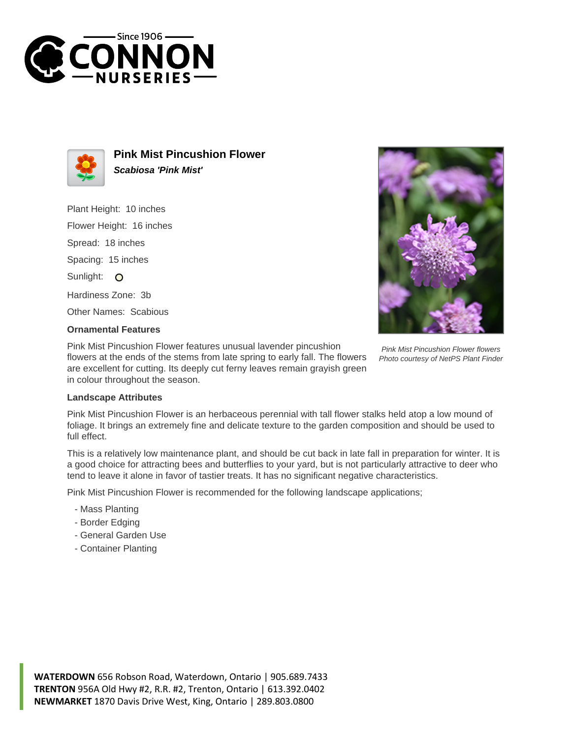



**Pink Mist Pincushion Flower Scabiosa 'Pink Mist'**

Plant Height: 10 inches

Flower Height: 16 inches

Spread: 18 inches

Spacing: 15 inches

Sunlight: O

Hardiness Zone: 3b

Other Names: Scabious

## **Ornamental Features**

Pink Mist Pincushion Flower features unusual lavender pincushion flowers at the ends of the stems from late spring to early fall. The flowers are excellent for cutting. Its deeply cut ferny leaves remain grayish green in colour throughout the season.



Pink Mist Pincushion Flower flowers Photo courtesy of NetPS Plant Finder

## **Landscape Attributes**

Pink Mist Pincushion Flower is an herbaceous perennial with tall flower stalks held atop a low mound of foliage. It brings an extremely fine and delicate texture to the garden composition and should be used to full effect.

This is a relatively low maintenance plant, and should be cut back in late fall in preparation for winter. It is a good choice for attracting bees and butterflies to your yard, but is not particularly attractive to deer who tend to leave it alone in favor of tastier treats. It has no significant negative characteristics.

Pink Mist Pincushion Flower is recommended for the following landscape applications;

- Mass Planting
- Border Edging
- General Garden Use
- Container Planting

**WATERDOWN** 656 Robson Road, Waterdown, Ontario | 905.689.7433 **TRENTON** 956A Old Hwy #2, R.R. #2, Trenton, Ontario | 613.392.0402 **NEWMARKET** 1870 Davis Drive West, King, Ontario | 289.803.0800